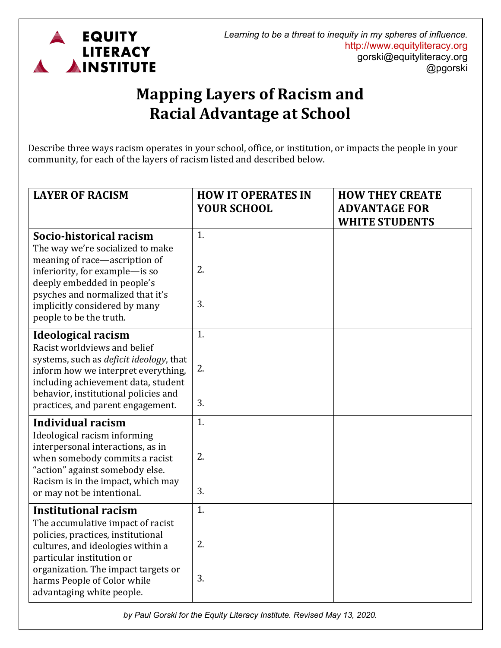

## **Mapping Layers of Racism and Racial Advantage at School**

Describe three ways racism operates in your school, office, or institution, or impacts the people in your community, for each of the layers of racism listed and described below.

| <b>LAYER OF RACISM</b>                                                                                                                                                                                                                                                      | <b>HOW IT OPERATES IN</b><br><b>YOUR SCHOOL</b> | <b>HOW THEY CREATE</b><br><b>ADVANTAGE FOR</b><br><b>WHITE STUDENTS</b> |
|-----------------------------------------------------------------------------------------------------------------------------------------------------------------------------------------------------------------------------------------------------------------------------|-------------------------------------------------|-------------------------------------------------------------------------|
| Socio-historical racism<br>The way we're socialized to make<br>meaning of race-ascription of<br>inferiority, for example-is so<br>deeply embedded in people's<br>psyches and normalized that it's<br>implicitly considered by many                                          | 1.<br>2.<br>3.                                  |                                                                         |
| people to be the truth.                                                                                                                                                                                                                                                     |                                                 |                                                                         |
| <b>Ideological racism</b><br>Racist worldviews and belief<br>systems, such as <i>deficit ideology</i> , that<br>inform how we interpret everything,<br>including achievement data, student<br>behavior, institutional policies and<br>practices, and parent engagement.     | 1.<br>2.<br>3.                                  |                                                                         |
| <b>Individual racism</b><br>Ideological racism informing<br>interpersonal interactions, as in<br>when somebody commits a racist<br>"action" against somebody else.<br>Racism is in the impact, which may<br>or may not be intentional.                                      | 1.<br>2.<br>3.                                  |                                                                         |
| <b>Institutional racism</b><br>The accumulative impact of racist<br>policies, practices, institutional<br>cultures, and ideologies within a<br>particular institution or<br>organization. The impact targets or<br>harms People of Color while<br>advantaging white people. | 1.<br>2.<br>3.                                  |                                                                         |

*by Paul Gorski for the Equity Literacy Institute. Revised May 13, 2020.*